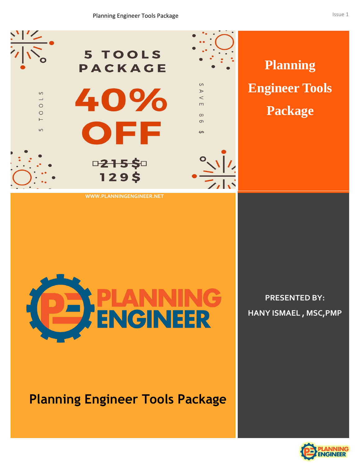

**WWW.PLANNINGENGINEER.NET**



**Planning Engineer Tools Package**

**PRESENTED BY: HANY ISMAEL , MSC,PMP**

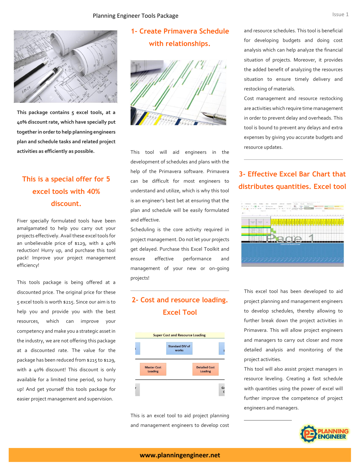

**This package contains 5 excel tools, at a 40% discount rate, which have specially put together in order to help planning engineers plan and schedule tasks and related project activities as efficiently as possible.**

# **This is a special offer for 5 excel tools with 40% discount.**

Fiver specially formulated tools have been amalgamated to help you carry out your projects effectively. Avail these excel tools for an unbelievable price of \$129, with a 40% reduction! Hurry up, and purchase this tool pack! Improve your project management efficiency!

This tools package is being offered at a discounted price. The original price for these 5 excel tools is worth \$215. Since our aim is to help you and provide you with the best resources, which can improve your competency and make you a strategic asset in the industry, we are not offering this package at a discounted rate. The value for the package has been reduced from \$215 to \$129, with a 40% discount! This discount is only available for a limited time period, so hurry up! And get yourself this tools package for easier project management and supervision.

# **1- Create Primavera Schedule with relationships.**



This tool will aid engineers in the development of schedules and plans with the help of the Primavera software. Primavera can be difficult for most engineers to understand and utilize, which is why this tool is an engineer's best bet at ensuring that the plan and schedule will be easily formulated and effective.

Scheduling is the core activity required in project management. Do not let your projects get delayed. Purchase this Excel Toolkit and ensure effective performance and management of your new or on-going projects!

## **2- Cost and resource loading. Excel Tool**



This is an excel tool to aid project planning and management engineers to develop cost

and resource schedules. This tool is beneficial for developing budgets and doing cost analysis which can help analyze the financial situation of projects. Moreover, it provides the added benefit of analyzing the resources situation to ensure timely delivery and restocking of materials.

Cost management and resource restocking are activities which require time management in order to prevent delay and overheads. This tool is bound to prevent any delays and extra expenses by giving you accurate budgets and resource updates.

## **3- Effective Excel Bar Chart that distributes quantities. Excel tool**



This excel tool has been developed to aid project planning and management engineers to develop schedules, thereby allowing to further break down the project activities in Primavera. This will allow project engineers and managers to carry out closer and more detailed analysis and monitoring of the project activities.

This tool will also assist project managers in resource leveling. Creating a fast schedule with quantities using the power of excel will further improve the competence of project engineers and managers.

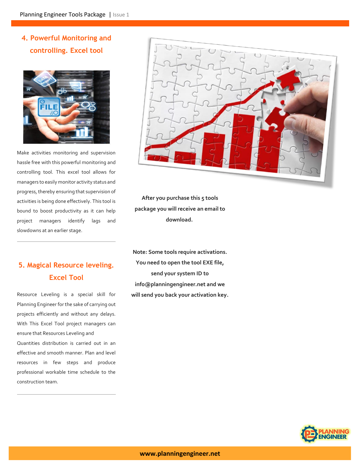# **4. Powerful Monitoring and controlling. Excel tool**



Make activities monitoring and supervision hassle free with this powerful monitoring and controlling tool. This excel tool allows for managers to easily monitor activity status and progress, thereby ensuring that supervision of activities is being done effectively. This tool is bound to boost productivity as it can help project managers identify lags and slowdowns at an earlier stage.

# **5. Magical Resource leveling. Excel Tool**

Resource Leveling is a special skill for Planning Engineer for the sake of carrying out projects efficiently and without any delays. With This Excel Tool project managers can ensure that Resources Leveling and Quantities distribution is carried out in an effective and smooth manner. Plan and level resources in few steps and produce professional workable time schedule to the construction team.



**After you purchase this 5 tools package you will receive an email to download.**

**Note: Some tools require activations. You need to open the tool EXE file, send your system ID to info@planningengineer.net and we will send you back your activation key.**